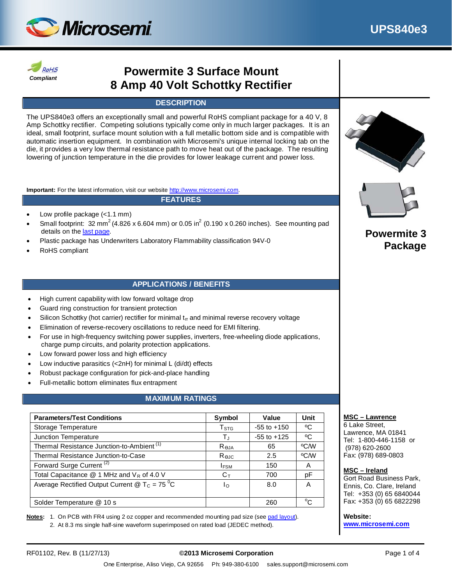



# **Powermite 3 Surface Mount 8 Amp 40 Volt Schottky Rectifier**

#### **DESCRIPTION**

The UPS840e3 offers an exceptionally small and powerful RoHS compliant package for a 40 V, 8 Amp Schottky rectifier. Competing solutions typically come only in much larger packages. It is an ideal, small footprint, surface mount solution with a full metallic bottom side and is compatible with automatic insertion equipment. In combination with Microsemi's unique internal locking tab on the die, it provides a very low thermal resistance path to move heat out of the package. The resulting lowering of junction temperature in the die provides for lower leakage current and power loss.

**Important:** For the latest information, visit our website [http://www.microsemi.com.](http://www.microsemi.com/)

#### **FEATURES**

- Low profile package (<1.1 mm)
- Small footprint: 32 mm<sup>2</sup> (4.826 x 6.604 mm) or 0.05 in<sup>2</sup> (0.190 x 0.260 inches). See mounting pad details on the [last page.](#page-3-0)
- Plastic package has Underwriters Laboratory Flammability classification 94V-0
- RoHS compliant

#### **APPLICATIONS / BENEFITS**

- High current capability with low forward voltage drop
- Guard ring construction for transient protection
- Silicon Schottky (hot carrier) rectifier for minimal  $t<sub>tr</sub>$  and minimal reverse recovery voltage
- Elimination of reverse-recovery oscillations to reduce need for EMI filtering.
- For use in high-frequency switching power supplies, inverters, free-wheeling diode applications, charge pump circuits, and polarity protection applications.
- Low forward power loss and high efficiency
- Low inductive parasitics (<2nH) for minimal L (di/dt) effects
- Robust package configuration for pick-and-place handling
- Full-metallic bottom eliminates flux entrapment

## **MAXIMUM RATINGS**

| <b>Parameters/Test Conditions</b>                                                     | Symbol               | Value           | Unit         |
|---------------------------------------------------------------------------------------|----------------------|-----------------|--------------|
| Storage Temperature                                                                   | T <sub>STG</sub>     | $-55$ to $+150$ | °C           |
| Junction Temperature                                                                  | $\mathsf{T}_{\rm J}$ | $-55$ to $+125$ | °C           |
| Thermal Resistance Junction-to-Ambient <sup>(1)</sup>                                 | $R_{\theta$ JA       | 65              | °C/W         |
| Thermal Resistance Junction-to-Case                                                   | Rejc                 | 2.5             | °C/W         |
| Forward Surge Current <sup>(2)</sup>                                                  | <b>IFSM</b>          | 150             | A            |
| Total Capacitance $@$ 1 MHz and $V_R$ of 4.0 V                                        | $C_{\text{T}}$       | 700             | pF           |
| Average Rectified Output Current $\textcircled{2}$ T <sub>C</sub> = 75 <sup>°</sup> C | Iο                   | 8.0             | A            |
| Solder Temperature @ 10 s                                                             |                      | 260             | $^{\circ}$ C |

**Notes:** 1. On PCB with FR4 using 2 oz copper and recommended mounting pad size (see [pad layout\)](#page-3-0). 2. At 8.3 ms single half-sine waveform superimposed on rated load (JEDEC method).





## **Powermite 3 Package**

#### **MSC – Lawrence**

6 Lake Street, Lawrence, MA 01841 Tel: 1-800-446-1158 or (978) 620-2600 Fax: (978) 689-0803

#### **MSC – Ireland**

Gort Road Business Park, Ennis, Co. Clare, Ireland Tel: +353 (0) 65 6840044 Fax: +353 (0) 65 6822298

**Website:** 

**[www.microsemi.com](http://www.microsemi.com/)**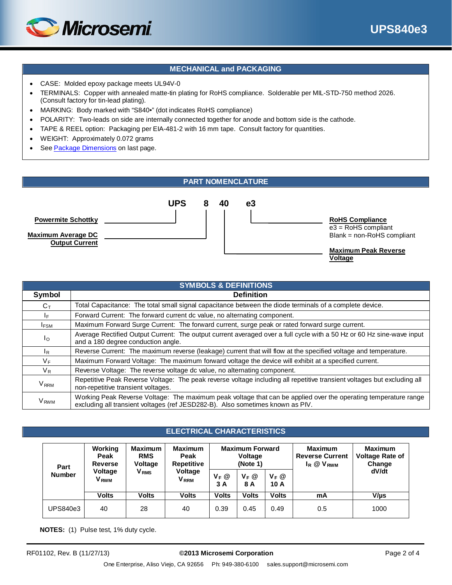

### **MECHANICAL and PACKAGING**

- CASE: Molded epoxy package meets UL94V-0
- TERMINALS: Copper with annealed matte-tin plating for RoHS compliance. Solderable per MIL-STD-750 method 2026. (Consult factory for tin-lead plating).
- MARKING: Body marked with "S840•" (dot indicates RoHS compliance)
- POLARITY: Two-leads on side are internally connected together for anode and bottom side is the cathode.
- TAPE & REEL option: Packaging per EIA-481-2 with 16 mm tape. Consult factory for quantities.
- WEIGHT: Approximately 0.072 grams
- See [Package Dimensions](#page-3-1) on last page.

#### **PART NOMENCLATURE**



| <b>SYMBOLS &amp; DEFINITIONS</b> |                                                                                                                                                                                                   |  |  |
|----------------------------------|---------------------------------------------------------------------------------------------------------------------------------------------------------------------------------------------------|--|--|
| Symbol                           | <b>Definition</b>                                                                                                                                                                                 |  |  |
| $C_{\text{T}}$                   | Total Capacitance: The total small signal capacitance between the diode terminals of a complete device.                                                                                           |  |  |
| ΙF.                              | Forward Current: The forward current dc value, no alternating component.                                                                                                                          |  |  |
| <b>IFSM</b>                      | Maximum Forward Surge Current: The forward current, surge peak or rated forward surge current.                                                                                                    |  |  |
| Ιo                               | Average Rectified Output Current: The output current averaged over a full cycle with a 50 Hz or 60 Hz sine-wave input<br>and a 180 degree conduction angle.                                       |  |  |
| IR.                              | Reverse Current: The maximum reverse (leakage) current that will flow at the specified voltage and temperature.                                                                                   |  |  |
| VF                               | Maximum Forward Voltage: The maximum forward voltage the device will exhibit at a specified current.                                                                                              |  |  |
| $V_{R}$                          | Reverse Voltage: The reverse voltage dc value, no alternating component.                                                                                                                          |  |  |
| <b>V</b> <sub>RRM</sub>          | Repetitive Peak Reverse Voltage: The peak reverse voltage including all repetitive transient voltages but excluding all<br>non-repetitive transient voltages.                                     |  |  |
| <b>V</b> <sub>RWM</sub>          | Working Peak Reverse Voltage: The maximum peak voltage that can be applied over the operating temperature range<br>excluding all transient voltages (ref JESD282-B). Also sometimes known as PIV. |  |  |

#### **ELECTRICAL CHARACTERISTICS**

| Part            | Working<br>Peak<br>Reverse                | <b>Maximum</b><br><b>RMS</b><br>Voltage | <b>Maximum</b><br>Peak<br><b>Repetitive</b> | <b>Maximum Forward</b><br><b>Voltage</b><br>(Note 1) |                | <b>Maximum</b><br><b>Reverse Current</b><br>$I_R \otimes V_{RWM}$ | <b>Maximum</b><br><b>Voltage Rate of</b><br>Change |           |
|-----------------|-------------------------------------------|-----------------------------------------|---------------------------------------------|------------------------------------------------------|----------------|-------------------------------------------------------------------|----------------------------------------------------|-----------|
| <b>Number</b>   | <b>Voltage</b><br><b>V</b> <sub>RWM</sub> | <b>V</b> <sub>RMS</sub>                 | Voltage<br><b>V</b> <sub>RRM</sub>          | $V_F @$<br>3 A                                       | $V_F @$<br>8 A | $V_F @$<br>10 A                                                   |                                                    | dV/dt     |
|                 | <b>Volts</b>                              | <b>Volts</b>                            | <b>Volts</b>                                | <b>Volts</b>                                         | <b>Volts</b>   | Volts                                                             | mA                                                 | $V/\mu s$ |
| <b>UPS840e3</b> | 40                                        | 28                                      | 40                                          | 0.39                                                 | 0.45           | 0.49                                                              | 0.5                                                | 1000      |

**NOTES:** (1) Pulse test, 1% duty cycle.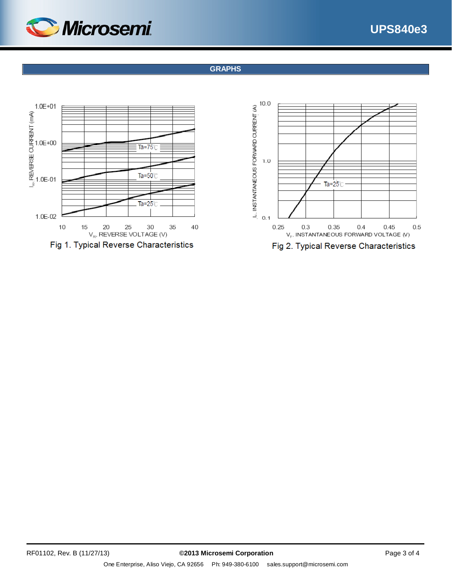



## **GRAPHS**